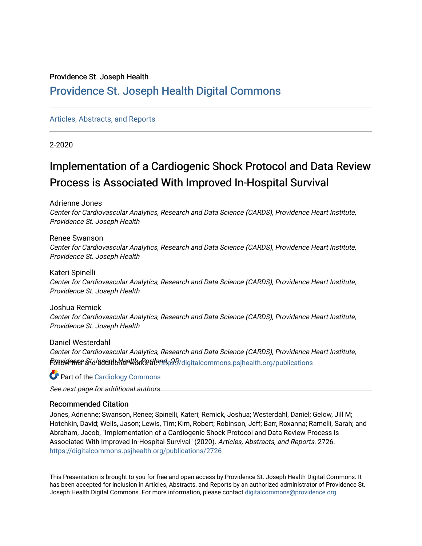#### Providence St. Joseph Health

### [Providence St. Joseph Health Digital Commons](https://digitalcommons.psjhealth.org/)

#### [Articles, Abstracts, and Reports](https://digitalcommons.psjhealth.org/publications)

2-2020

### Implementation of a Cardiogenic Shock Protocol and Data Review Process is Associated With Improved In-Hospital Survival

Adrienne Jones

Center for Cardiovascular Analytics, Research and Data Science (CARDS), Providence Heart Institute, Providence St. Joseph Health

Renee Swanson Center for Cardiovascular Analytics, Research and Data Science (CARDS), Providence Heart Institute, Providence St. Joseph Health

Kateri Spinelli Center for Cardiovascular Analytics, Research and Data Science (CARDS), Providence Heart Institute, Providence St. Joseph Health

Joshua Remick Center for Cardiovascular Analytics, Research and Data Science (CARDS), Providence Heart Institute, Providence St. Joseph Health

Daniel Westerdahl Center for Cardiovascular Analytics, Research and Data Science (CARDS), Providence Heart Institute, P6916/Annee aftd/adanth Han Work Pettland, O.P. / digital commons.psjhealth.org/publications

**C** Part of the [Cardiology Commons](http://network.bepress.com/hgg/discipline/683?utm_source=digitalcommons.psjhealth.org%2Fpublications%2F2726&utm_medium=PDF&utm_campaign=PDFCoverPages)

See next page for additional authors

#### Recommended Citation

Jones, Adrienne; Swanson, Renee; Spinelli, Kateri; Remick, Joshua; Westerdahl, Daniel; Gelow, Jill M; Hotchkin, David; Wells, Jason; Lewis, Tim; Kim, Robert; Robinson, Jeff; Barr, Roxanna; Ramelli, Sarah; and Abraham, Jacob, "Implementation of a Cardiogenic Shock Protocol and Data Review Process is Associated With Improved In-Hospital Survival" (2020). Articles, Abstracts, and Reports. 2726. [https://digitalcommons.psjhealth.org/publications/2726](https://digitalcommons.psjhealth.org/publications/2726?utm_source=digitalcommons.psjhealth.org%2Fpublications%2F2726&utm_medium=PDF&utm_campaign=PDFCoverPages) 

This Presentation is brought to you for free and open access by Providence St. Joseph Health Digital Commons. It has been accepted for inclusion in Articles, Abstracts, and Reports by an authorized administrator of Providence St. Joseph Health Digital Commons. For more information, please contact [digitalcommons@providence.org.](mailto:digitalcommons@providence.org)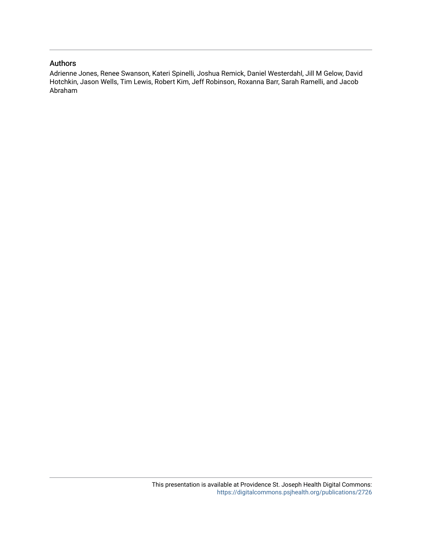#### Authors

Adrienne Jones, Renee Swanson, Kateri Spinelli, Joshua Remick, Daniel Westerdahl, Jill M Gelow, David Hotchkin, Jason Wells, Tim Lewis, Robert Kim, Jeff Robinson, Roxanna Barr, Sarah Ramelli, and Jacob Abraham